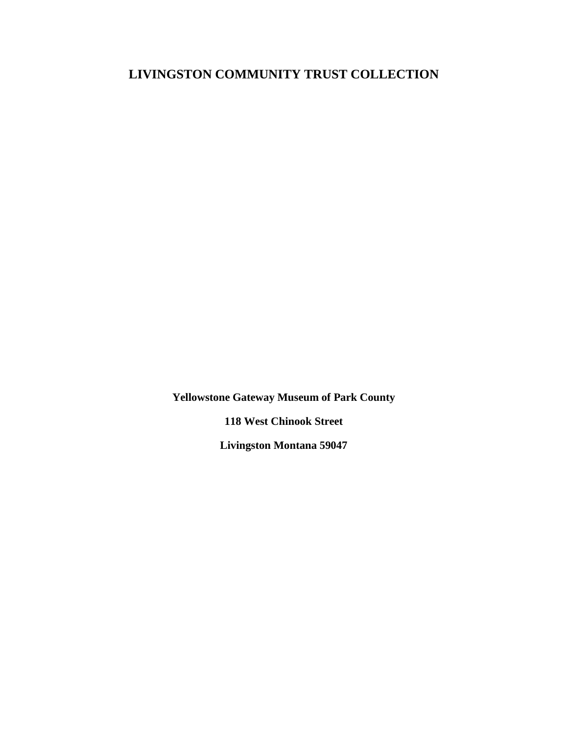**Yellowstone Gateway Museum of Park County**

**118 West Chinook Street**

**Livingston Montana 59047**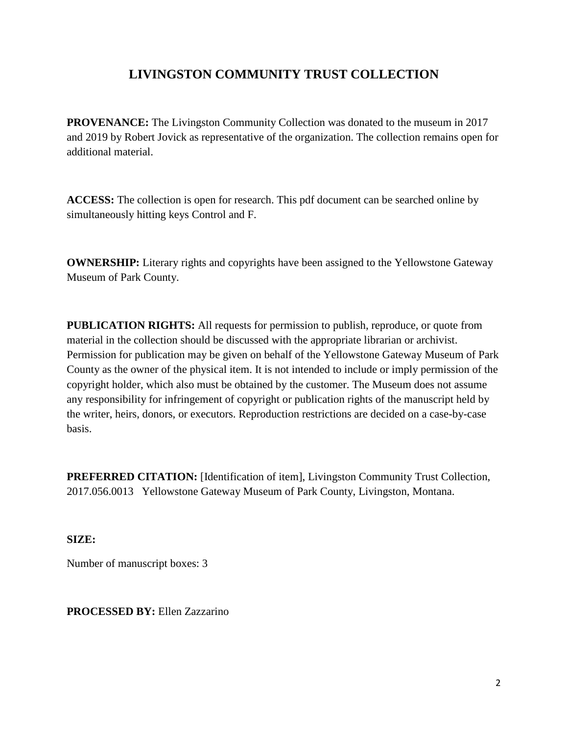**PROVENANCE:** The Livingston Community Collection was donated to the museum in 2017 and 2019 by Robert Jovick as representative of the organization. The collection remains open for additional material.

**ACCESS:** The collection is open for research. This pdf document can be searched online by simultaneously hitting keys Control and F.

**OWNERSHIP:** Literary rights and copyrights have been assigned to the Yellowstone Gateway Museum of Park County.

**PUBLICATION RIGHTS:** All requests for permission to publish, reproduce, or quote from material in the collection should be discussed with the appropriate librarian or archivist. Permission for publication may be given on behalf of the Yellowstone Gateway Museum of Park County as the owner of the physical item. It is not intended to include or imply permission of the copyright holder, which also must be obtained by the customer. The Museum does not assume any responsibility for infringement of copyright or publication rights of the manuscript held by the writer, heirs, donors, or executors. Reproduction restrictions are decided on a case-by-case basis.

**PREFERRED CITATION:** [Identification of item], Livingston Community Trust Collection, 2017.056.0013 Yellowstone Gateway Museum of Park County, Livingston, Montana.

**SIZE:**

Number of manuscript boxes: 3

**PROCESSED BY:** Ellen Zazzarino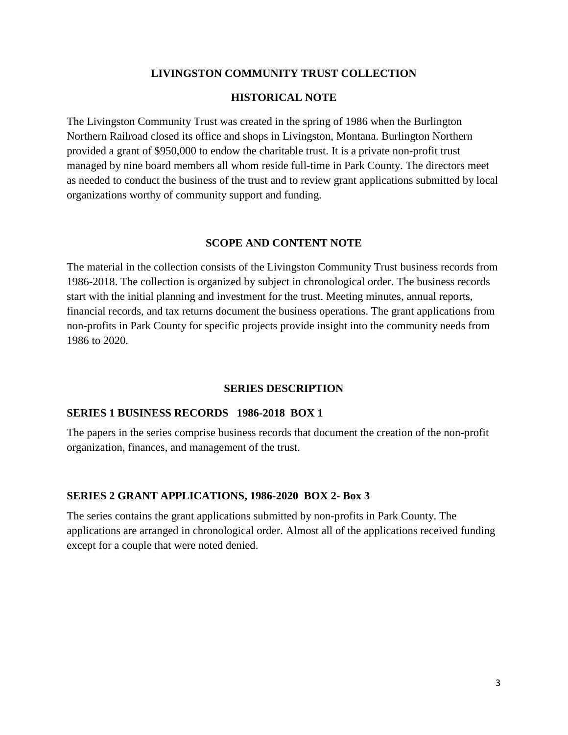### **HISTORICAL NOTE**

The Livingston Community Trust was created in the spring of 1986 when the Burlington Northern Railroad closed its office and shops in Livingston, Montana. Burlington Northern provided a grant of \$950,000 to endow the charitable trust. It is a private non-profit trust managed by nine board members all whom reside full-time in Park County. The directors meet as needed to conduct the business of the trust and to review grant applications submitted by local organizations worthy of community support and funding.

#### **SCOPE AND CONTENT NOTE**

The material in the collection consists of the Livingston Community Trust business records from 1986-2018. The collection is organized by subject in chronological order. The business records start with the initial planning and investment for the trust. Meeting minutes, annual reports, financial records, and tax returns document the business operations. The grant applications from non-profits in Park County for specific projects provide insight into the community needs from 1986 to 2020.

#### **SERIES DESCRIPTION**

#### **SERIES 1 BUSINESS RECORDS 1986-2018 BOX 1**

The papers in the series comprise business records that document the creation of the non-profit organization, finances, and management of the trust.

### **SERIES 2 GRANT APPLICATIONS, 1986-2020 BOX 2- Box 3**

The series contains the grant applications submitted by non-profits in Park County. The applications are arranged in chronological order. Almost all of the applications received funding except for a couple that were noted denied.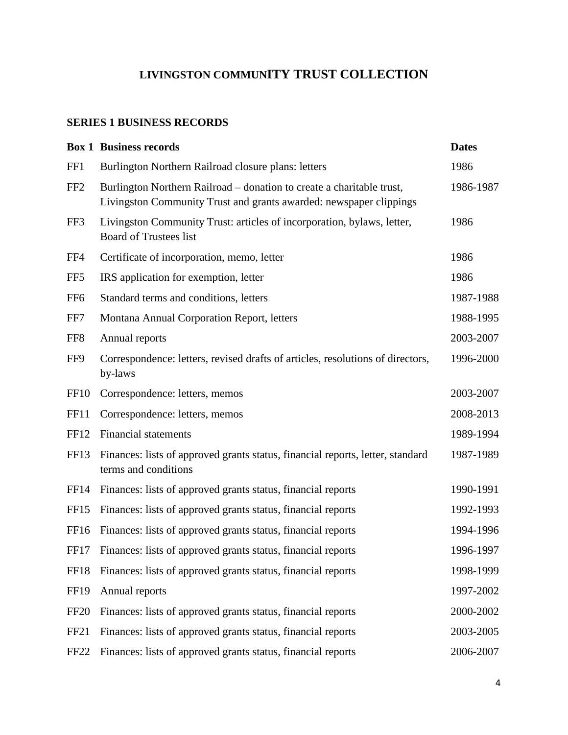## **SERIES 1 BUSINESS RECORDS**

|                  | <b>Box 1 Business records</b>                                                                                                               | <b>Dates</b> |
|------------------|---------------------------------------------------------------------------------------------------------------------------------------------|--------------|
| FF1              | Burlington Northern Railroad closure plans: letters                                                                                         | 1986         |
| FF <sub>2</sub>  | Burlington Northern Railroad – donation to create a charitable trust,<br>Livingston Community Trust and grants awarded: newspaper clippings | 1986-1987    |
| FF3              | Livingston Community Trust: articles of incorporation, bylaws, letter,<br><b>Board of Trustees list</b>                                     | 1986         |
| FF4              | Certificate of incorporation, memo, letter                                                                                                  | 1986         |
| FF <sub>5</sub>  | IRS application for exemption, letter                                                                                                       | 1986         |
| FF <sub>6</sub>  | Standard terms and conditions, letters                                                                                                      | 1987-1988    |
| FF7              | Montana Annual Corporation Report, letters                                                                                                  | 1988-1995    |
| FF <sub>8</sub>  | Annual reports                                                                                                                              | 2003-2007    |
| FF9              | Correspondence: letters, revised drafts of articles, resolutions of directors,<br>by-laws                                                   | 1996-2000    |
| FF <sub>10</sub> | Correspondence: letters, memos                                                                                                              | 2003-2007    |
| FF11             | Correspondence: letters, memos                                                                                                              | 2008-2013    |
| FF12             | <b>Financial statements</b>                                                                                                                 | 1989-1994    |
| FF13             | Finances: lists of approved grants status, financial reports, letter, standard<br>terms and conditions                                      | 1987-1989    |
| FF <sub>14</sub> | Finances: lists of approved grants status, financial reports                                                                                | 1990-1991    |
| FF15             | Finances: lists of approved grants status, financial reports                                                                                | 1992-1993    |
| FF <sub>16</sub> | Finances: lists of approved grants status, financial reports                                                                                | 1994-1996    |
| FF17             | Finances: lists of approved grants status, financial reports                                                                                | 1996-1997    |
| FF18             | Finances: lists of approved grants status, financial reports                                                                                | 1998-1999    |
| FF19             | Annual reports                                                                                                                              | 1997-2002    |
| FF <sub>20</sub> | Finances: lists of approved grants status, financial reports                                                                                | 2000-2002    |
| FF <sub>21</sub> | Finances: lists of approved grants status, financial reports                                                                                | 2003-2005    |
| FF <sub>22</sub> | Finances: lists of approved grants status, financial reports                                                                                | 2006-2007    |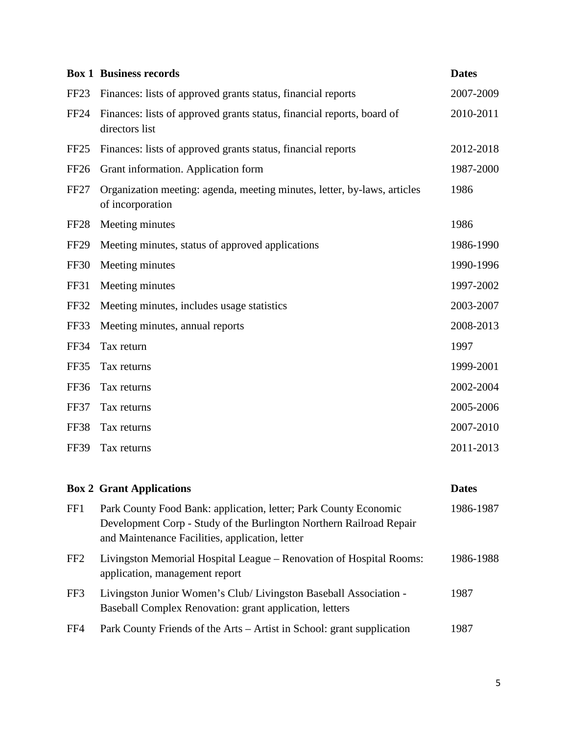|                  | <b>Box 1 Business records</b>                                                                | <b>Dates</b> |
|------------------|----------------------------------------------------------------------------------------------|--------------|
| FF23             | Finances: lists of approved grants status, financial reports                                 | 2007-2009    |
| FF24             | Finances: lists of approved grants status, financial reports, board of<br>directors list     | 2010-2011    |
| FF25             | Finances: lists of approved grants status, financial reports                                 | 2012-2018    |
| FF <sub>26</sub> | Grant information. Application form                                                          | 1987-2000    |
| <b>FF27</b>      | Organization meeting: agenda, meeting minutes, letter, by-laws, articles<br>of incorporation | 1986         |
| FF <sub>28</sub> | Meeting minutes                                                                              | 1986         |
| <b>FF29</b>      | Meeting minutes, status of approved applications                                             | 1986-1990    |
| <b>FF30</b>      | Meeting minutes                                                                              | 1990-1996    |
| FF31             | Meeting minutes                                                                              | 1997-2002    |
| <b>FF32</b>      | Meeting minutes, includes usage statistics                                                   | 2003-2007    |
| FF33             | Meeting minutes, annual reports                                                              | 2008-2013    |
| <b>FF34</b>      | Tax return                                                                                   | 1997         |
| FF35             | Tax returns                                                                                  | 1999-2001    |
| FF36             | Tax returns                                                                                  | 2002-2004    |
| FF37             | Tax returns                                                                                  | 2005-2006    |
| FF38             | Tax returns                                                                                  | 2007-2010    |
| <b>FF39</b>      | Tax returns                                                                                  | 2011-2013    |

|                 | <b>Box 2 Grant Applications</b>                                                                                                                                                            | <b>Dates</b> |
|-----------------|--------------------------------------------------------------------------------------------------------------------------------------------------------------------------------------------|--------------|
| FF1             | Park County Food Bank: application, letter; Park County Economic<br>Development Corp - Study of the Burlington Northern Railroad Repair<br>and Maintenance Facilities, application, letter | 1986-1987    |
| FF <sub>2</sub> | Livingston Memorial Hospital League – Renovation of Hospital Rooms:<br>application, management report                                                                                      | 1986-1988    |
| FF3             | Livingston Junior Women's Club/ Livingston Baseball Association -<br>Baseball Complex Renovation: grant application, letters                                                               | 1987         |
| FF4             | Park County Friends of the Arts – Artist in School: grant supplication                                                                                                                     | 1987         |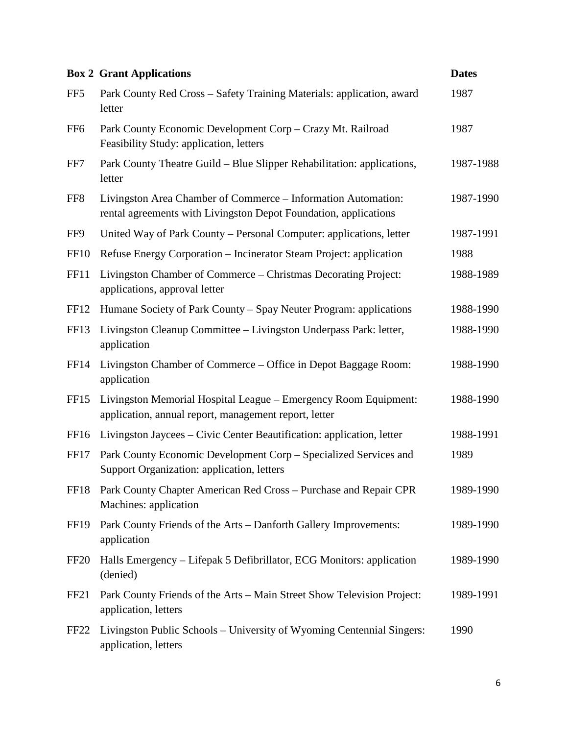|                  | <b>Box 2 Grant Applications</b>                                                                                                   | <b>Dates</b> |
|------------------|-----------------------------------------------------------------------------------------------------------------------------------|--------------|
| FF <sub>5</sub>  | Park County Red Cross - Safety Training Materials: application, award<br>letter                                                   | 1987         |
| FF <sub>6</sub>  | Park County Economic Development Corp - Crazy Mt. Railroad<br>Feasibility Study: application, letters                             | 1987         |
| FF7              | Park County Theatre Guild – Blue Slipper Rehabilitation: applications,<br>letter                                                  | 1987-1988    |
| FF8              | Livingston Area Chamber of Commerce - Information Automation:<br>rental agreements with Livingston Depot Foundation, applications | 1987-1990    |
| FF9              | United Way of Park County – Personal Computer: applications, letter                                                               | 1987-1991    |
| <b>FF10</b>      | Refuse Energy Corporation – Incinerator Steam Project: application                                                                | 1988         |
| FF11             | Livingston Chamber of Commerce – Christmas Decorating Project:<br>applications, approval letter                                   | 1988-1989    |
| FF12             | Humane Society of Park County – Spay Neuter Program: applications                                                                 | 1988-1990    |
| FF13             | Livingston Cleanup Committee – Livingston Underpass Park: letter,<br>application                                                  | 1988-1990    |
| FF <sub>14</sub> | Livingston Chamber of Commerce – Office in Depot Baggage Room:<br>application                                                     | 1988-1990    |
| FF <sub>15</sub> | Livingston Memorial Hospital League – Emergency Room Equipment:<br>application, annual report, management report, letter          | 1988-1990    |
| FF <sub>16</sub> | Livingston Jaycees – Civic Center Beautification: application, letter                                                             | 1988-1991    |
| FF17             | Park County Economic Development Corp – Specialized Services and<br>Support Organization: application, letters                    | 1989         |
| FF18             | Park County Chapter American Red Cross - Purchase and Repair CPR<br>Machines: application                                         | 1989-1990    |
| <b>FF19</b>      | Park County Friends of the Arts - Danforth Gallery Improvements:<br>application                                                   | 1989-1990    |
| FF <sub>20</sub> | Halls Emergency – Lifepak 5 Defibrillator, ECG Monitors: application<br>(denied)                                                  | 1989-1990    |
| FF <sub>21</sub> | Park County Friends of the Arts – Main Street Show Television Project:<br>application, letters                                    | 1989-1991    |
| FF <sub>22</sub> | Livingston Public Schools - University of Wyoming Centennial Singers:<br>application, letters                                     | 1990         |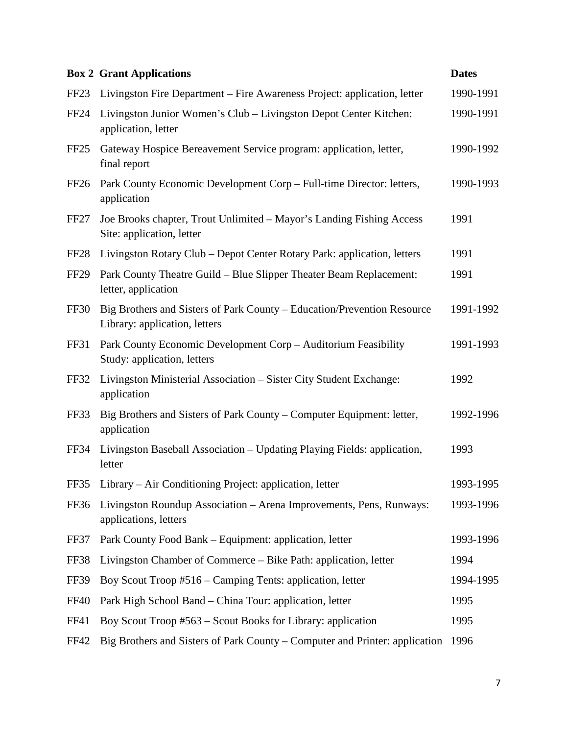|                  | <b>Box 2 Grant Applications</b>                                                                          | <b>Dates</b> |
|------------------|----------------------------------------------------------------------------------------------------------|--------------|
| FF <sub>23</sub> | Livingston Fire Department - Fire Awareness Project: application, letter                                 | 1990-1991    |
| FF <sub>24</sub> | Livingston Junior Women's Club - Livingston Depot Center Kitchen:<br>application, letter                 | 1990-1991    |
| FF <sub>25</sub> | Gateway Hospice Bereavement Service program: application, letter,<br>final report                        | 1990-1992    |
| <b>FF26</b>      | Park County Economic Development Corp - Full-time Director: letters,<br>application                      | 1990-1993    |
| FF <sub>27</sub> | Joe Brooks chapter, Trout Unlimited – Mayor's Landing Fishing Access<br>Site: application, letter        | 1991         |
| FF <sub>28</sub> | Livingston Rotary Club – Depot Center Rotary Park: application, letters                                  | 1991         |
| <b>FF29</b>      | Park County Theatre Guild - Blue Slipper Theater Beam Replacement:<br>letter, application                | 1991         |
| <b>FF30</b>      | Big Brothers and Sisters of Park County – Education/Prevention Resource<br>Library: application, letters | 1991-1992    |
| FF31             | Park County Economic Development Corp - Auditorium Feasibility<br>Study: application, letters            | 1991-1993    |
| FF32             | Livingston Ministerial Association – Sister City Student Exchange:<br>application                        | 1992         |
| FF33             | Big Brothers and Sisters of Park County – Computer Equipment: letter,<br>application                     | 1992-1996    |
| FF34             | Livingston Baseball Association - Updating Playing Fields: application,<br>letter                        | 1993         |
|                  | FF35 Library – Air Conditioning Project: application, letter                                             | 1993-1995    |
| FF36             | Livingston Roundup Association - Arena Improvements, Pens, Runways:<br>applications, letters             | 1993-1996    |
| FF37             | Park County Food Bank – Equipment: application, letter                                                   | 1993-1996    |
| FF38             | Livingston Chamber of Commerce – Bike Path: application, letter                                          | 1994         |
| FF39             | Boy Scout Troop #516 – Camping Tents: application, letter                                                | 1994-1995    |
| <b>FF40</b>      | Park High School Band – China Tour: application, letter                                                  | 1995         |
| <b>FF41</b>      | Boy Scout Troop #563 – Scout Books for Library: application                                              | 1995         |
| FF42             | Big Brothers and Sisters of Park County – Computer and Printer: application                              | 1996         |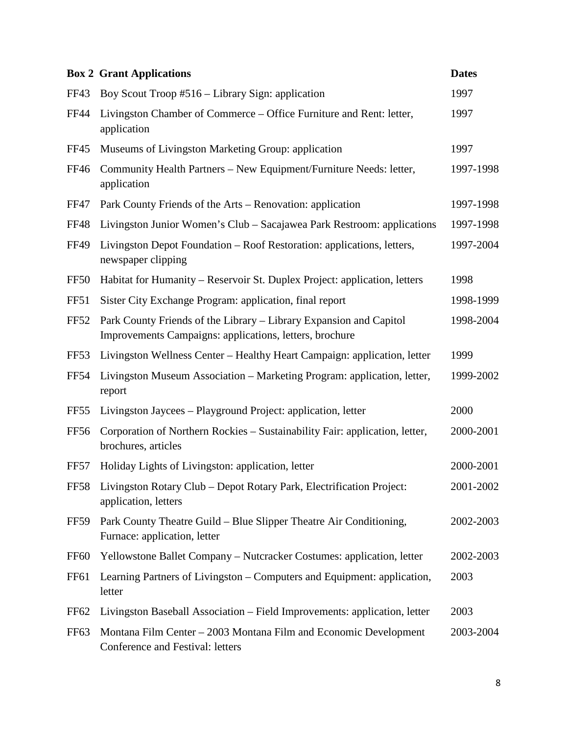|                  | <b>Box 2 Grant Applications</b>                                                                                               | <b>Dates</b> |
|------------------|-------------------------------------------------------------------------------------------------------------------------------|--------------|
| FF43             | Boy Scout Troop #516 – Library Sign: application                                                                              | 1997         |
| FF44             | Livingston Chamber of Commerce – Office Furniture and Rent: letter,<br>application                                            | 1997         |
| FF45             | Museums of Livingston Marketing Group: application                                                                            | 1997         |
| FF46             | Community Health Partners - New Equipment/Furniture Needs: letter,<br>application                                             | 1997-1998    |
| <b>FF47</b>      | Park County Friends of the Arts – Renovation: application                                                                     | 1997-1998    |
| <b>FF48</b>      | Livingston Junior Women's Club - Sacajawea Park Restroom: applications                                                        | 1997-1998    |
| FF49             | Livingston Depot Foundation – Roof Restoration: applications, letters,<br>newspaper clipping                                  | 1997-2004    |
| FF50             | Habitat for Humanity – Reservoir St. Duplex Project: application, letters                                                     | 1998         |
| FF51             | Sister City Exchange Program: application, final report                                                                       | 1998-1999    |
| <b>FF52</b>      | Park County Friends of the Library – Library Expansion and Capitol<br>Improvements Campaigns: applications, letters, brochure | 1998-2004    |
| FF <sub>53</sub> | Livingston Wellness Center – Healthy Heart Campaign: application, letter                                                      | 1999         |
| <b>FF54</b>      | Livingston Museum Association – Marketing Program: application, letter,<br>report                                             | 1999-2002    |
| FF55             | Livingston Jaycees - Playground Project: application, letter                                                                  | 2000         |
| <b>FF56</b>      | Corporation of Northern Rockies - Sustainability Fair: application, letter,<br>brochures, articles                            | 2000-2001    |
| <b>FF57</b>      | Holiday Lights of Livingston: application, letter                                                                             | 2000-2001    |
| <b>FF58</b>      | Livingston Rotary Club - Depot Rotary Park, Electrification Project:<br>application, letters                                  | 2001-2002    |
| <b>FF59</b>      | Park County Theatre Guild – Blue Slipper Theatre Air Conditioning,<br>Furnace: application, letter                            | 2002-2003    |
| <b>FF60</b>      | Yellowstone Ballet Company - Nutcracker Costumes: application, letter                                                         | 2002-2003    |
| <b>FF61</b>      | Learning Partners of Livingston – Computers and Equipment: application,<br>letter                                             | 2003         |
| FF62             | Livingston Baseball Association – Field Improvements: application, letter                                                     | 2003         |
| FF63             | Montana Film Center – 2003 Montana Film and Economic Development<br>Conference and Festival: letters                          | 2003-2004    |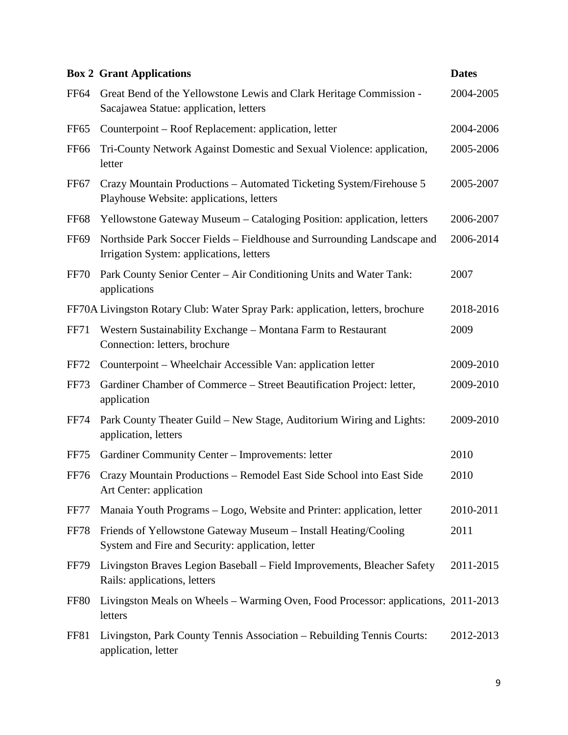|                  | <b>Box 2 Grant Applications</b>                                                                                      | <b>Dates</b> |
|------------------|----------------------------------------------------------------------------------------------------------------------|--------------|
| FF64             | Great Bend of the Yellowstone Lewis and Clark Heritage Commission -<br>Sacajawea Statue: application, letters        | 2004-2005    |
| FF <sub>65</sub> | Counterpoint – Roof Replacement: application, letter                                                                 | 2004-2006    |
| <b>FF66</b>      | Tri-County Network Against Domestic and Sexual Violence: application,<br>letter                                      | 2005-2006    |
| FF <sub>67</sub> | Crazy Mountain Productions – Automated Ticketing System/Firehouse 5<br>Playhouse Website: applications, letters      | 2005-2007    |
| <b>FF68</b>      | Yellowstone Gateway Museum – Cataloging Position: application, letters                                               | 2006-2007    |
| <b>FF69</b>      | Northside Park Soccer Fields – Fieldhouse and Surrounding Landscape and<br>Irrigation System: applications, letters  | 2006-2014    |
| <b>FF70</b>      | Park County Senior Center - Air Conditioning Units and Water Tank:<br>applications                                   | 2007         |
|                  | FF70A Livingston Rotary Club: Water Spray Park: application, letters, brochure                                       | 2018-2016    |
| <b>FF71</b>      | Western Sustainability Exchange – Montana Farm to Restaurant<br>Connection: letters, brochure                        | 2009         |
| FF72             | Counterpoint – Wheelchair Accessible Van: application letter                                                         | 2009-2010    |
| <b>FF73</b>      | Gardiner Chamber of Commerce – Street Beautification Project: letter,<br>application                                 | 2009-2010    |
| <b>FF74</b>      | Park County Theater Guild - New Stage, Auditorium Wiring and Lights:<br>application, letters                         | 2009-2010    |
| FF75             | Gardiner Community Center - Improvements: letter                                                                     | 2010         |
| <b>FF76</b>      | Crazy Mountain Productions - Remodel East Side School into East Side<br>Art Center: application                      | 2010         |
| <b>FF77</b>      | Manaia Youth Programs – Logo, Website and Printer: application, letter                                               | 2010-2011    |
| <b>FF78</b>      | Friends of Yellowstone Gateway Museum - Install Heating/Cooling<br>System and Fire and Security: application, letter | 2011         |
| <b>FF79</b>      | Livingston Braves Legion Baseball – Field Improvements, Bleacher Safety<br>Rails: applications, letters              | 2011-2015    |
| FF80             | Livingston Meals on Wheels – Warming Oven, Food Processor: applications, 2011-2013<br>letters                        |              |
| FF81             | Livingston, Park County Tennis Association – Rebuilding Tennis Courts:<br>application, letter                        | 2012-2013    |